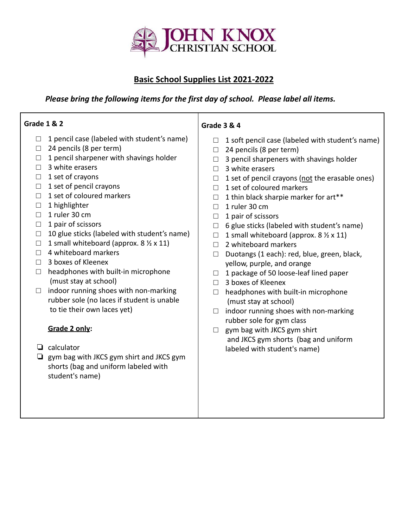

# **Basic School Supplies List 2021-2022**

## *Please bring the following items for the first day of school. Please label all items.*

| <b>Grade 1 &amp; 2</b>                                      | <b>Grade 3 &amp; 4</b>                                    |
|-------------------------------------------------------------|-----------------------------------------------------------|
| 1 pencil case (labeled with student's name)<br>$\Box$       | 1 soft pencil case (labeled with student's name)          |
| 24 pencils (8 per term)<br>$\Box$                           | 24 pencils (8 per term)<br>□                              |
| 1 pencil sharpener with shavings holder<br>$\Box$           | 3 pencil sharpeners with shavings holder<br>$\Box$        |
| 3 white erasers<br>П                                        | 3 white erasers<br>П                                      |
| 1 set of crayons<br>$\Box$                                  | 1 set of pencil crayons (not the erasable ones)<br>$\Box$ |
| 1 set of pencil crayons<br>$\Box$                           | 1 set of coloured markers<br>$\Box$                       |
| 1 set of coloured markers<br>П                              | 1 thin black sharpie marker for art**<br>$\Box$           |
| 1 highlighter<br>$\Box$                                     | 1 ruler 30 cm<br>$\Box$                                   |
| 1 ruler 30 cm<br>П                                          | 1 pair of scissors<br>$\Box$                              |
| 1 pair of scissors<br>$\Box$                                | 6 glue sticks (labeled with student's name)<br>$\Box$     |
| 10 glue sticks (labeled with student's name)<br>$\Box$      | 1 small whiteboard (approx. 8 1/2 x 11)<br>$\Box$         |
| 1 small whiteboard (approx. 8 $\frac{1}{2}$ x 11)<br>$\Box$ | 2 whiteboard markers<br>П                                 |
| 4 whiteboard markers<br>$\Box$                              | Duotangs (1 each): red, blue, green, black,<br>П          |
| 3 boxes of Kleenex<br>$\Box$                                | yellow, purple, and orange                                |
| headphones with built-in microphone<br>$\Box$               | 1 package of 50 loose-leaf lined paper<br>$\Box$          |
| (must stay at school)                                       | 3 boxes of Kleenex<br>П                                   |
| indoor running shoes with non-marking<br>$\Box$             | headphones with built-in microphone<br>П                  |
| rubber sole (no laces if student is unable                  | (must stay at school)                                     |
| to tie their own laces yet)                                 | indoor running shoes with non-marking<br>$\Box$           |
|                                                             | rubber sole for gym class                                 |
| Grade 2 only:                                               | gym bag with JKCS gym shirt                               |
|                                                             | and JKCS gym shorts (bag and uniform                      |
| calculator<br>⊔                                             | labeled with student's name)                              |
| gym bag with JKCS gym shirt and JKCS gym<br>❏               |                                                           |
| shorts (bag and uniform labeled with                        |                                                           |
| student's name)                                             |                                                           |
|                                                             |                                                           |
|                                                             |                                                           |
|                                                             |                                                           |